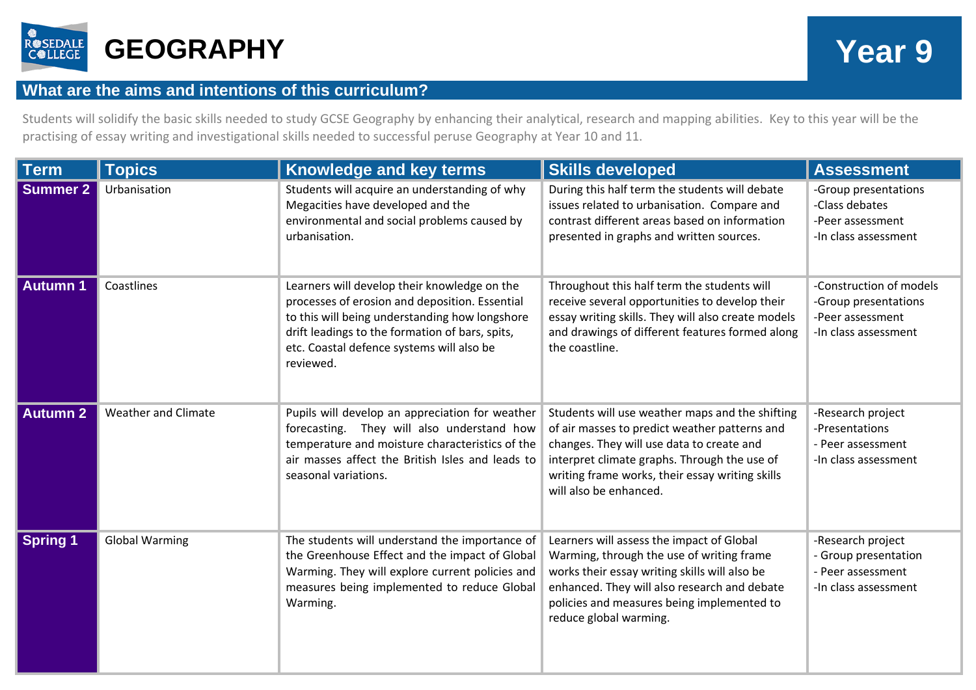

## **What are the aims and intentions of this curriculum?**

Students will solidify the basic skills needed to study GCSE Geography by enhancing their analytical, research and mapping abilities. Key to this year will be the practising of essay writing and investigational skills needed to successful peruse Geography at Year 10 and 11.

| <b>Term</b>         | <b>Topics</b>              | <b>Knowledge and key terms</b>                                                                                                                                                                                                                                | <b>Skills developed</b>                                                                                                                                                                                                                                                    | <b>Assessment</b>                                                                           |
|---------------------|----------------------------|---------------------------------------------------------------------------------------------------------------------------------------------------------------------------------------------------------------------------------------------------------------|----------------------------------------------------------------------------------------------------------------------------------------------------------------------------------------------------------------------------------------------------------------------------|---------------------------------------------------------------------------------------------|
| Summer <sub>2</sub> | Urbanisation               | Students will acquire an understanding of why<br>Megacities have developed and the<br>environmental and social problems caused by<br>urbanisation.                                                                                                            | During this half term the students will debate<br>issues related to urbanisation. Compare and<br>contrast different areas based on information<br>presented in graphs and written sources.                                                                                 | -Group presentations<br>-Class debates<br>-Peer assessment<br>-In class assessment          |
| <b>Autumn 1</b>     | Coastlines                 | Learners will develop their knowledge on the<br>processes of erosion and deposition. Essential<br>to this will being understanding how longshore<br>drift leadings to the formation of bars, spits,<br>etc. Coastal defence systems will also be<br>reviewed. | Throughout this half term the students will<br>receive several opportunities to develop their<br>essay writing skills. They will also create models<br>and drawings of different features formed along<br>the coastline.                                                   | -Construction of models<br>-Group presentations<br>-Peer assessment<br>-In class assessment |
| <b>Autumn 2</b>     | <b>Weather and Climate</b> | Pupils will develop an appreciation for weather<br>forecasting. They will also understand how<br>temperature and moisture characteristics of the<br>air masses affect the British Isles and leads to<br>seasonal variations.                                  | Students will use weather maps and the shifting<br>of air masses to predict weather patterns and<br>changes. They will use data to create and<br>interpret climate graphs. Through the use of<br>writing frame works, their essay writing skills<br>will also be enhanced. | -Research project<br>-Presentations<br>- Peer assessment<br>-In class assessment            |
| <b>Spring 1</b>     | <b>Global Warming</b>      | The students will understand the importance of<br>the Greenhouse Effect and the impact of Global<br>Warming. They will explore current policies and<br>measures being implemented to reduce Global<br>Warming.                                                | Learners will assess the impact of Global<br>Warming, through the use of writing frame<br>works their essay writing skills will also be<br>enhanced. They will also research and debate<br>policies and measures being implemented to<br>reduce global warming.            | -Research project<br>- Group presentation<br>- Peer assessment<br>-In class assessment      |